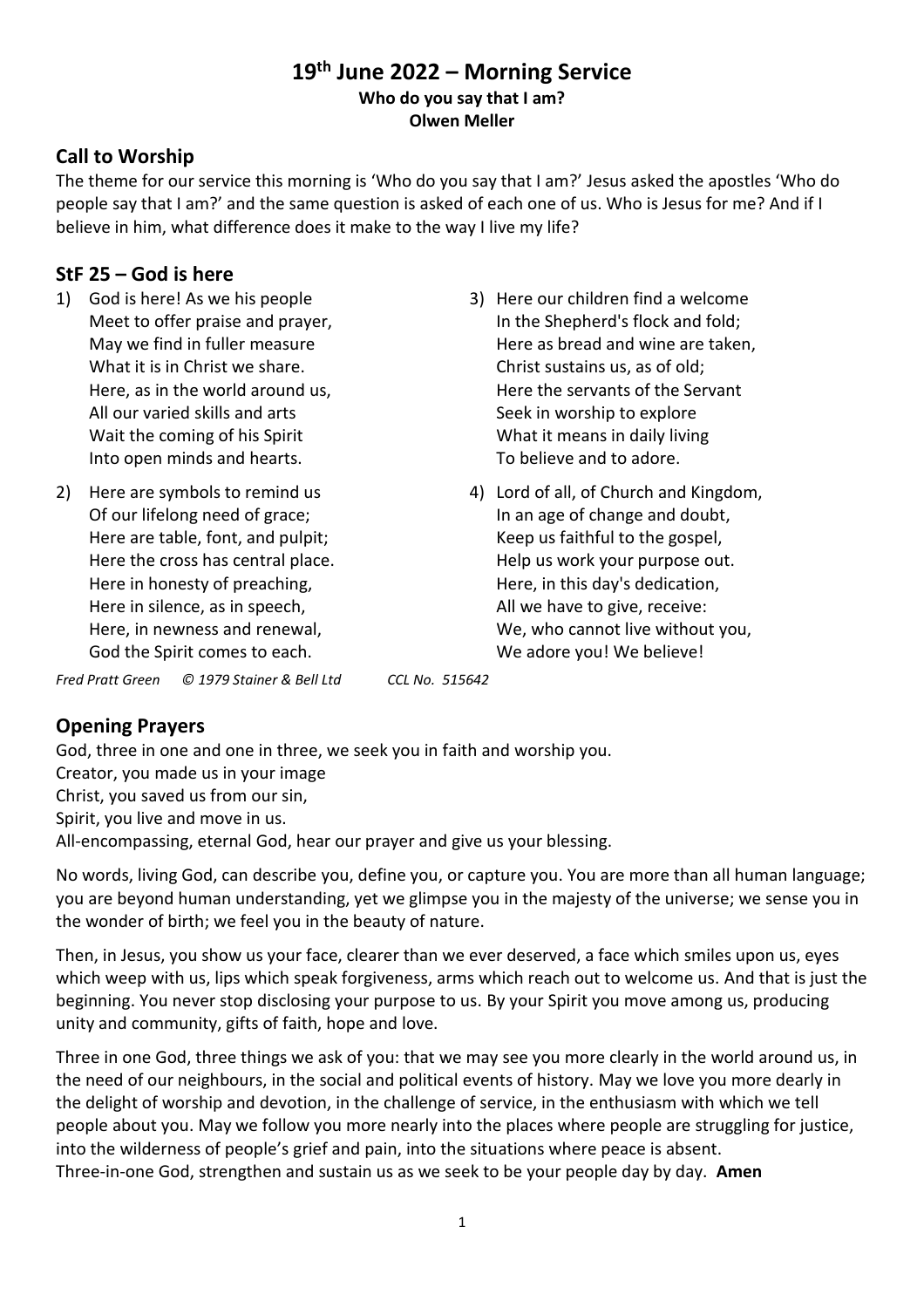## **19th June 2022 – Morning Service Who do you say that I am? Olwen Meller**

#### **Call to Worship**

The theme for our service this morning is 'Who do you say that I am?' Jesus asked the apostles 'Who do people say that I am?' and the same question is asked of each one of us. Who is Jesus for me? And if I believe in him, what difference does it make to the way I live my life?

#### **StF 25 – God is here**

- 1) God is here! As we his people Meet to offer praise and prayer, May we find in fuller measure What it is in Christ we share. Here, as in the world around us, All our varied skills and arts Wait the coming of his Spirit Into open minds and hearts.
- 2) Here are symbols to remind us Of our lifelong need of grace; Here are table, font, and pulpit; Here the cross has central place. Here in honesty of preaching, Here in silence, as in speech, Here, in newness and renewal, God the Spirit comes to each.
- 3) Here our children find a welcome In the Shepherd's flock and fold; Here as bread and wine are taken, Christ sustains us, as of old; Here the servants of the Servant Seek in worship to explore What it means in daily living To believe and to adore.
- 4) Lord of all, of Church and Kingdom, In an age of change and doubt, Keep us faithful to the gospel, Help us work your purpose out. Here, in this day's dedication, All we have to give, receive: We, who cannot live without you, We adore you! We believe!

*Fred Pratt Green © 1979 Stainer & Bell Ltd CCL No. 515642*

# **Opening Prayers**

God, three in one and one in three, we seek you in faith and worship you. Creator, you made us in your image Christ, you saved us from our sin, Spirit, you live and move in us. All-encompassing, eternal God, hear our prayer and give us your blessing.

No words, living God, can describe you, define you, or capture you. You are more than all human language; you are beyond human understanding, yet we glimpse you in the majesty of the universe; we sense you in the wonder of birth; we feel you in the beauty of nature.

Then, in Jesus, you show us your face, clearer than we ever deserved, a face which smiles upon us, eyes which weep with us, lips which speak forgiveness, arms which reach out to welcome us. And that is just the beginning. You never stop disclosing your purpose to us. By your Spirit you move among us, producing unity and community, gifts of faith, hope and love.

Three in one God, three things we ask of you: that we may see you more clearly in the world around us, in the need of our neighbours, in the social and political events of history. May we love you more dearly in the delight of worship and devotion, in the challenge of service, in the enthusiasm with which we tell people about you. May we follow you more nearly into the places where people are struggling for justice, into the wilderness of people's grief and pain, into the situations where peace is absent. Three-in-one God, strengthen and sustain us as we seek to be your people day by day. **Amen**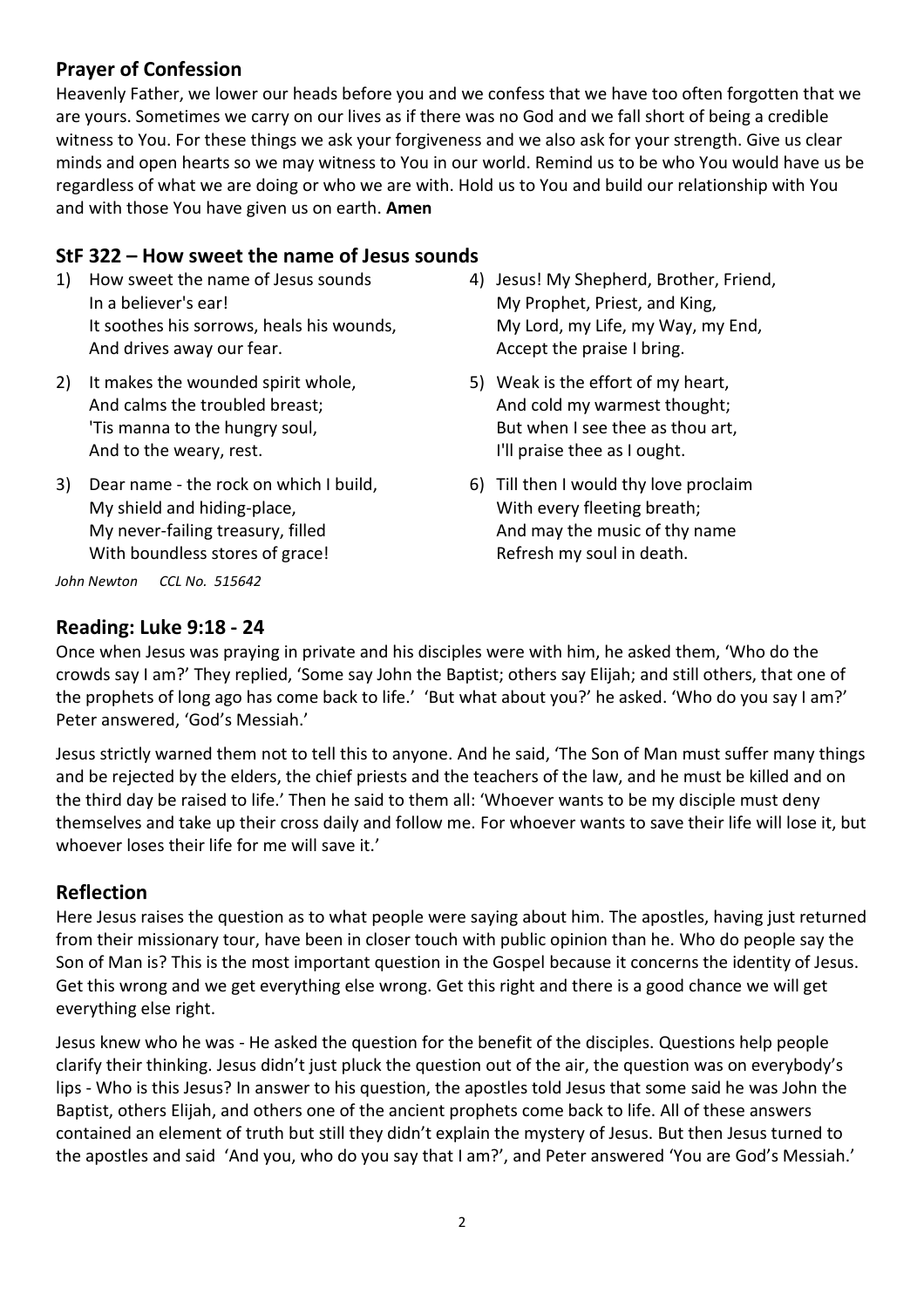## **Prayer of Confession**

Heavenly Father, we lower our heads before you and we confess that we have too often forgotten that we are yours. Sometimes we carry on our lives as if there was no God and we fall short of being a credible witness to You. For these things we ask your forgiveness and we also ask for your strength. Give us clear minds and open hearts so we may witness to You in our world. Remind us to be who You would have us be regardless of what we are doing or who we are with. Hold us to You and build our relationship with You and with those You have given us on earth. **Amen**

## **StF 322 – How sweet the name of Jesus sounds**

- 1) How sweet the name of Jesus sounds In a believer's ear! It soothes his sorrows, heals his wounds, And drives away our fear.
- 2) It makes the wounded spirit whole, And calms the troubled breast; 'Tis manna to the hungry soul, And to the weary, rest.
- 3) Dear name the rock on which I build, My shield and hiding-place, My never-failing treasury, filled With boundless stores of grace!
- 4) Jesus! My Shepherd, Brother, Friend, My Prophet, Priest, and King, My Lord, my Life, my Way, my End, Accept the praise I bring.
- 5) Weak is the effort of my heart, And cold my warmest thought; But when I see thee as thou art, I'll praise thee as I ought.
- 6) Till then I would thy love proclaim With every fleeting breath; And may the music of thy name Refresh my soul in death.

*John Newton CCL No. 515642*

#### **Reading: Luke 9:18 - 24**

Once when Jesus was praying in private and his disciples were with him, he asked them, 'Who do the crowds say I am?' They replied, 'Some say John the Baptist; others say Elijah; and still others, that one of the prophets of long ago has come back to life.' 'But what about you?' he asked. 'Who do you say I am?' Peter answered, 'God's Messiah.'

Jesus strictly warned them not to tell this to anyone. And he said, 'The Son of Man must suffer many things and be rejected by the elders, the chief priests and the teachers of the law, and he must be killed and on the third day be raised to life.' Then he said to them all: 'Whoever wants to be my disciple must deny themselves and take up their cross daily and follow me. For whoever wants to save their life will lose it, but whoever loses their life for me will save it.'

# **Reflection**

Here Jesus raises the question as to what people were saying about him. The apostles, having just returned from their missionary tour, have been in closer touch with public opinion than he. Who do people say the Son of Man is? This is the most important question in the Gospel because it concerns the identity of Jesus. Get this wrong and we get everything else wrong. Get this right and there is a good chance we will get everything else right.

Jesus knew who he was - He asked the question for the benefit of the disciples. Questions help people clarify their thinking. Jesus didn't just pluck the question out of the air, the question was on everybody's lips - Who is this Jesus? In answer to his question, the apostles told Jesus that some said he was John the Baptist, others Elijah, and others one of the ancient prophets come back to life. All of these answers contained an element of truth but still they didn't explain the mystery of Jesus. But then Jesus turned to the apostles and said 'And you, who do you say that I am?', and Peter answered 'You are God's Messiah.'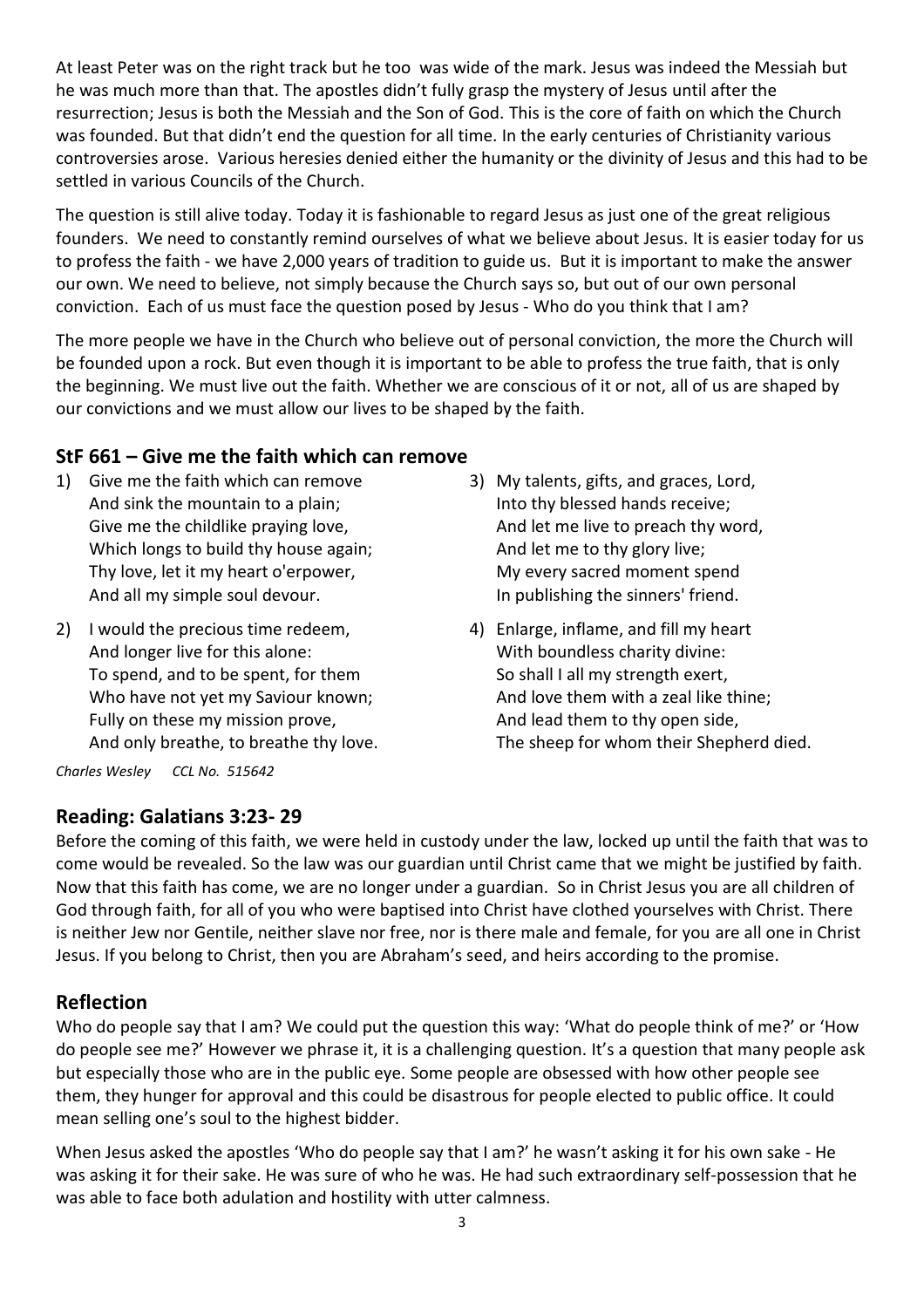At least Peter was on the right track but he too was wide of the mark. Jesus was indeed the Messiah but he was much more than that. The apostles didn't fully grasp the mystery of Jesus until after the resurrection; Jesus is both the Messiah and the Son of God. This is the core of faith on which the Church was founded. But that didn't end the question for all time. In the early centuries of Christianity various controversies arose. Various heresies denied either the humanity or the divinity of Jesus and this had to be settled in various Councils of the Church.

The question is still alive today. Today it is fashionable to regard Jesus as just one of the great religious founders. We need to constantly remind ourselves of what we believe about Jesus. It is easier today for us to profess the faith - we have 2,000 years of tradition to guide us. But it is important to make the answer our own. We need to believe, not simply because the Church says so, but out of our own personal conviction. Each of us must face the question posed by Jesus - Who do you think that I am?

The more people we have in the Church who believe out of personal conviction, the more the Church will be founded upon a rock. But even though it is important to be able to profess the true faith, that is only the beginning. We must live out the faith. Whether we are conscious of it or not, all of us are shaped by our convictions and we must allow our lives to be shaped by the faith.

## **StF 661 – Give me the faith which can remove**

- 1) Give me the faith which can remove And sink the mountain to a plain; Give me the childlike praying love, Which longs to build thy house again; Thy love, let it my heart o'erpower, And all my simple soul devour.
- 2) I would the precious time redeem, And longer live for this alone: To spend, and to be spent, for them Who have not yet my Saviour known; Fully on these my mission prove, And only breathe, to breathe thy love.
- 3) My talents, gifts, and graces, Lord, Into thy blessed hands receive; And let me live to preach thy word, And let me to thy glory live; My every sacred moment spend In publishing the sinners' friend.
- 4) Enlarge, inflame, and fill my heart With boundless charity divine: So shall I all my strength exert, And love them with a zeal like thine; And lead them to thy open side, The sheep for whom their Shepherd died.

*Charles Wesley CCL No. 515642*

#### **Reading: Galatians 3:23- 29**

Before the coming of this faith, we were held in custody under the law, locked up until the faith that was to come would be revealed. So the law was our guardian until Christ came that we might be justified by faith. Now that this faith has come, we are no longer under a guardian. So in Christ Jesus you are all children of God through faith, for all of you who were baptised into Christ have clothed yourselves with Christ. There is neither Jew nor Gentile, neither slave nor free, nor is there male and female, for you are all one in Christ Jesus. If you belong to Christ, then you are Abraham's seed, and heirs according to the promise.

#### **Reflection**

Who do people say that I am? We could put the question this way: 'What do people think of me?' or 'How do people see me?' However we phrase it, it is a challenging question. It's a question that many people ask but especially those who are in the public eye. Some people are obsessed with how other people see them, they hunger for approval and this could be disastrous for people elected to public office. It could mean selling one's soul to the highest bidder.

When Jesus asked the apostles 'Who do people say that I am?' he wasn't asking it for his own sake - He was asking it for their sake. He was sure of who he was. He had such extraordinary self-possession that he was able to face both adulation and hostility with utter calmness.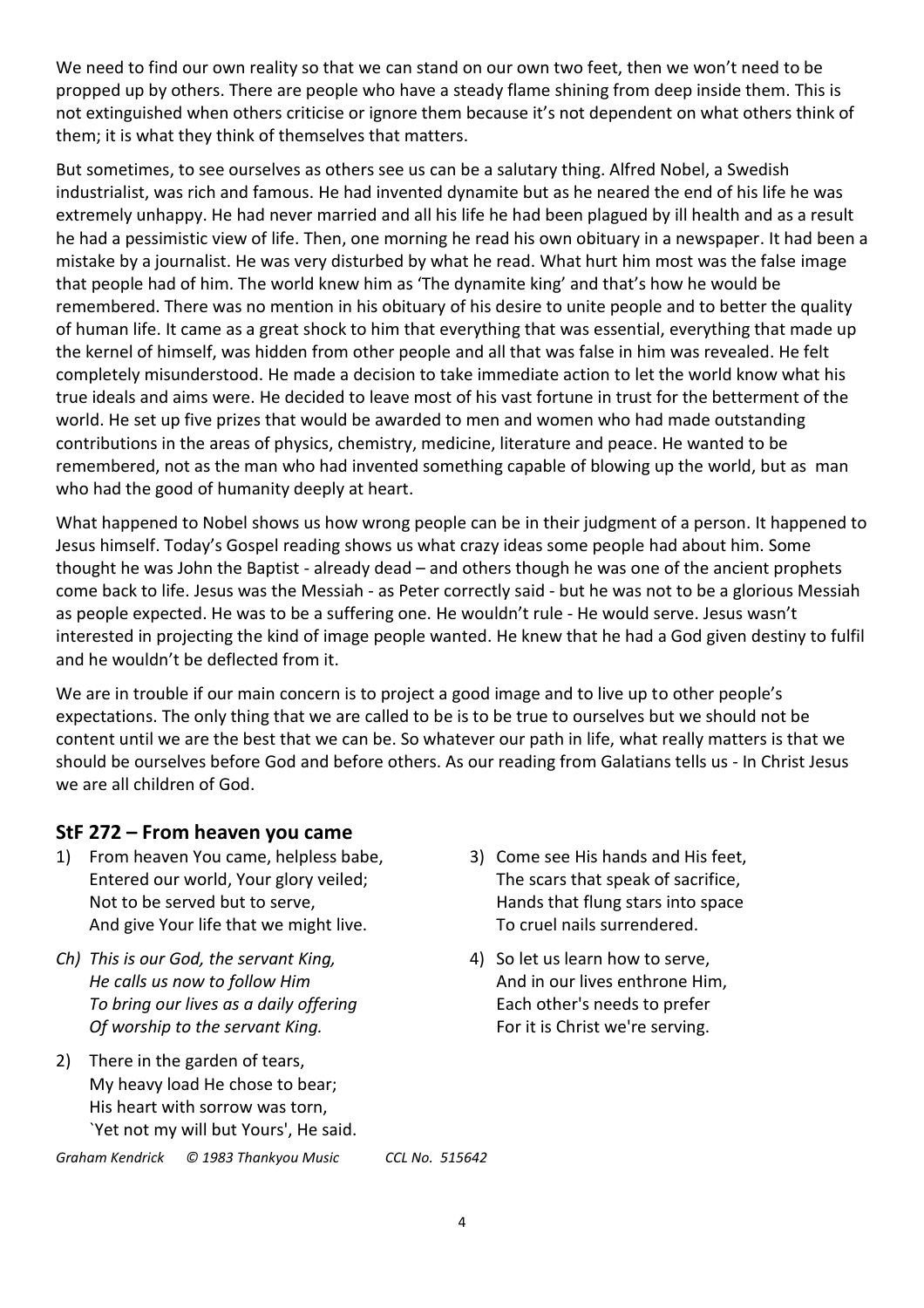We need to find our own reality so that we can stand on our own two feet, then we won't need to be propped up by others. There are people who have a steady flame shining from deep inside them. This is not extinguished when others criticise or ignore them because it's not dependent on what others think of them; it is what they think of themselves that matters.

But sometimes, to see ourselves as others see us can be a salutary thing. Alfred Nobel, a Swedish industrialist, was rich and famous. He had invented dynamite but as he neared the end of his life he was extremely unhappy. He had never married and all his life he had been plagued by ill health and as a result he had a pessimistic view of life. Then, one morning he read his own obituary in a newspaper. It had been a mistake by a journalist. He was very disturbed by what he read. What hurt him most was the false image that people had of him. The world knew him as 'The dynamite king' and that's how he would be remembered. There was no mention in his obituary of his desire to unite people and to better the quality of human life. It came as a great shock to him that everything that was essential, everything that made up the kernel of himself, was hidden from other people and all that was false in him was revealed. He felt completely misunderstood. He made a decision to take immediate action to let the world know what his true ideals and aims were. He decided to leave most of his vast fortune in trust for the betterment of the world. He set up five prizes that would be awarded to men and women who had made outstanding contributions in the areas of physics, chemistry, medicine, literature and peace. He wanted to be remembered, not as the man who had invented something capable of blowing up the world, but as man who had the good of humanity deeply at heart.

What happened to Nobel shows us how wrong people can be in their judgment of a person. It happened to Jesus himself. Today's Gospel reading shows us what crazy ideas some people had about him. Some thought he was John the Baptist - already dead – and others though he was one of the ancient prophets come back to life. Jesus was the Messiah - as Peter correctly said - but he was not to be a glorious Messiah as people expected. He was to be a suffering one. He wouldn't rule - He would serve. Jesus wasn't interested in projecting the kind of image people wanted. He knew that he had a God given destiny to fulfil and he wouldn't be deflected from it.

We are in trouble if our main concern is to project a good image and to live up to other people's expectations. The only thing that we are called to be is to be true to ourselves but we should not be content until we are the best that we can be. So whatever our path in life, what really matters is that we should be ourselves before God and before others. As our reading from Galatians tells us - In Christ Jesus we are all children of God.

#### **StF 272 – From heaven you came**

- 1) From heaven You came, helpless babe, Entered our world, Your glory veiled; Not to be served but to serve, And give Your life that we might live.
- *Ch) This is our God, the servant King, He calls us now to follow Him To bring our lives as a daily offering Of worship to the servant King.*
- 2) There in the garden of tears, My heavy load He chose to bear; His heart with sorrow was torn, `Yet not my will but Yours', He said.
- 3) Come see His hands and His feet, The scars that speak of sacrifice, Hands that flung stars into space To cruel nails surrendered.
- 4) So let us learn how to serve, And in our lives enthrone Him, Each other's needs to prefer For it is Christ we're serving.

*Graham Kendrick © 1983 Thankyou Music CCL No. 515642*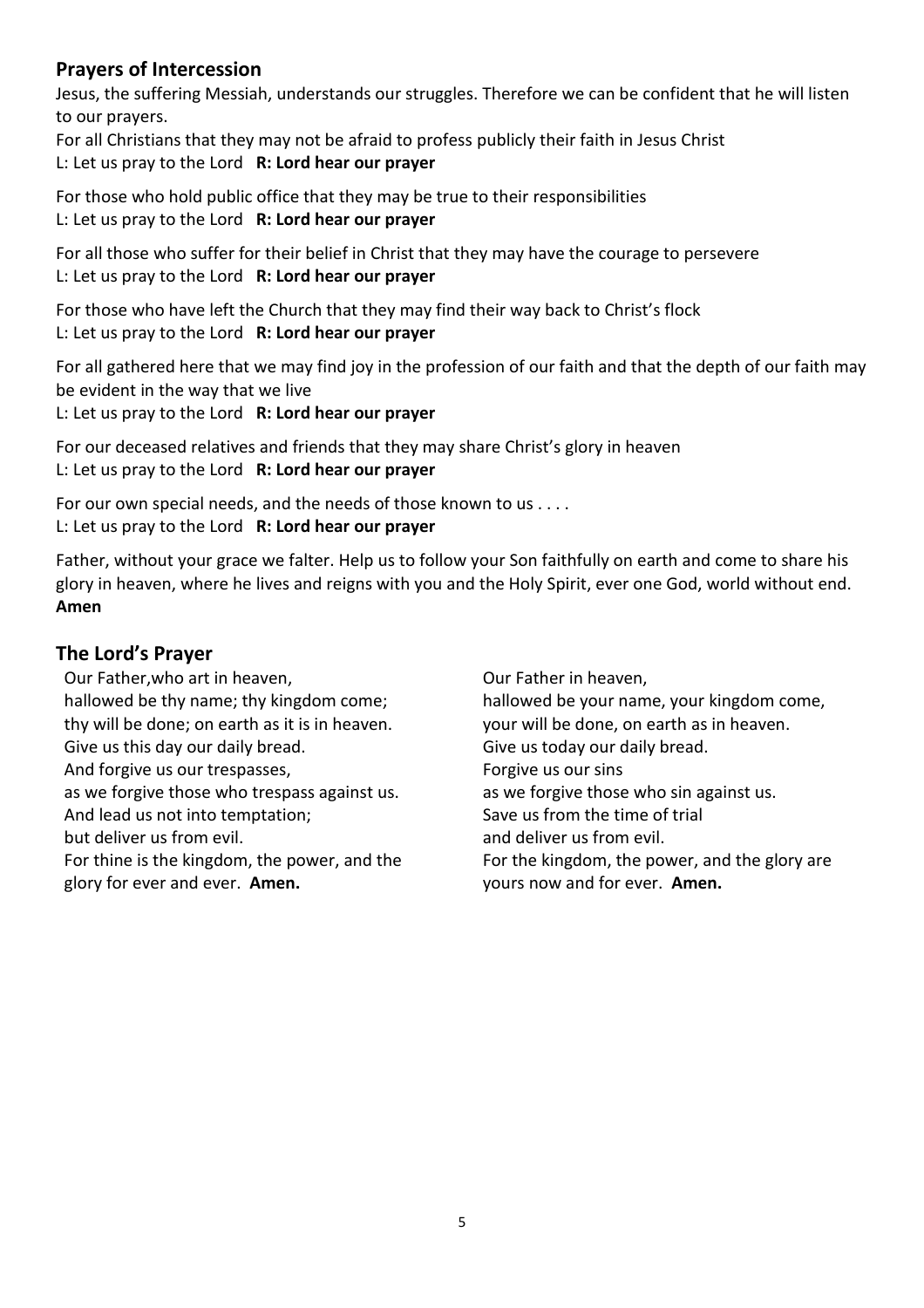## **Prayers of Intercession**

Jesus, the suffering Messiah, understands our struggles. Therefore we can be confident that he will listen to our prayers.

For all Christians that they may not be afraid to profess publicly their faith in Jesus Christ L: Let us pray to the Lord **R: Lord hear our prayer**

For those who hold public office that they may be true to their responsibilities L: Let us pray to the Lord **R: Lord hear our prayer**

For all those who suffer for their belief in Christ that they may have the courage to persevere L: Let us pray to the Lord **R: Lord hear our prayer**

For those who have left the Church that they may find their way back to Christ's flock L: Let us pray to the Lord **R: Lord hear our prayer**

For all gathered here that we may find joy in the profession of our faith and that the depth of our faith may be evident in the way that we live

L: Let us pray to the Lord **R: Lord hear our prayer**

For our deceased relatives and friends that they may share Christ's glory in heaven L: Let us pray to the Lord **R: Lord hear our prayer**

For our own special needs, and the needs of those known to us . . . . L: Let us pray to the Lord **R: Lord hear our prayer**

Father, without your grace we falter. Help us to follow your Son faithfully on earth and come to share his glory in heaven, where he lives and reigns with you and the Holy Spirit, ever one God, world without end. **Amen**

## **The Lord's Prayer**

Our Father,who art in heaven, hallowed be thy name; thy kingdom come; thy will be done; on earth as it is in heaven. Give us this day our daily bread. And forgive us our trespasses, as we forgive those who trespass against us. And lead us not into temptation; but deliver us from evil. For thine is the kingdom, the power, and the glory for ever and ever. **Amen.**

Our Father in heaven, hallowed be your name, your kingdom come, your will be done, on earth as in heaven. Give us today our daily bread. Forgive us our sins as we forgive those who sin against us. Save us from the time of trial and deliver us from evil. For the kingdom, the power, and the glory are yours now and for ever. **Amen.**